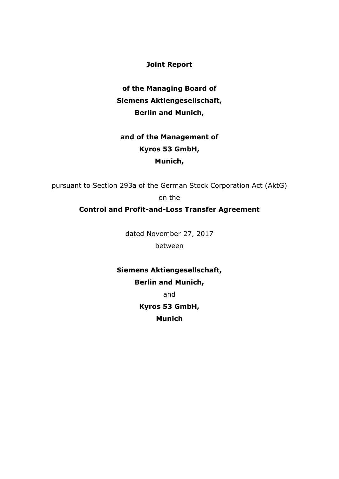**Joint Report** 

**of the Managing Board of Siemens Aktiengesellschaft, Berlin and Munich,** 

# **and of the Management of Kyros 53 GmbH, Munich,**

pursuant to Section 293a of the German Stock Corporation Act (AktG) on the

**Control and Profit-and-Loss Transfer Agreement**

dated November 27, 2017 between

**Siemens Aktiengesellschaft, Berlin and Munich,** 

and

**Kyros 53 GmbH,** 

**Munich**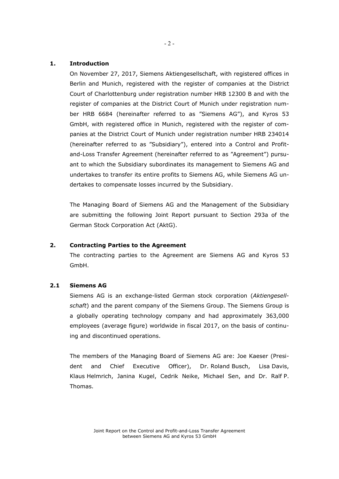# **1. Introduction**

On November 27, 2017, Siemens Aktiengesellschaft, with registered offices in Berlin and Munich, registered with the register of companies at the District Court of Charlottenburg under registration number HRB 12300 B and with the register of companies at the District Court of Munich under registration number HRB 6684 (hereinafter referred to as "Siemens AG"), and Kyros 53 GmbH, with registered office in Munich, registered with the register of companies at the District Court of Munich under registration number HRB 234014 (hereinafter referred to as "Subsidiary"), entered into a Control and Profitand-Loss Transfer Agreement (hereinafter referred to as "Agreement") pursuant to which the Subsidiary subordinates its management to Siemens AG and undertakes to transfer its entire profits to Siemens AG, while Siemens AG undertakes to compensate losses incurred by the Subsidiary.

The Managing Board of Siemens AG and the Management of the Subsidiary are submitting the following Joint Report pursuant to Section 293a of the German Stock Corporation Act (AktG).

# **2. Contracting Parties to the Agreement**

The contracting parties to the Agreement are Siemens AG and Kyros 53 GmbH.

# **2.1 Siemens AG**

Siemens AG is an exchange-listed German stock corporation (*Aktiengesellschaft*) and the parent company of the Siemens Group. The Siemens Group is a globally operating technology company and had approximately 363,000 employees (average figure) worldwide in fiscal 2017, on the basis of continuing and discontinued operations.

The members of the Managing Board of Siemens AG are: Joe Kaeser (President and Chief Executive Officer), Dr. Roland Busch, Lisa Davis, Klaus Helmrich, Janina Kugel, Cedrik Neike, Michael Sen, and Dr. Ralf P. Thomas.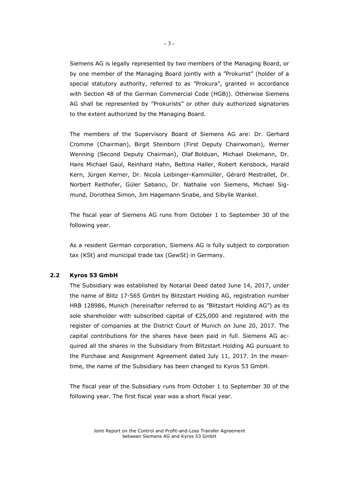Siemens AG is legally represented by two members of the Managing Board, or by one member of the Managing Board jointly with a "Prokurist" (holder of a special statutory authority, referred to as "Prokura", granted in accordance with Section 48 of the German Commercial Code (HGB)). Otherwise Siemens AG shall be represented by "Prokurists" or other duly authorized signatories to the extent authorized by the Managing Board.

The members of the Supervisory Board of Siemens AG are: Dr. Gerhard Cromme (Chairman), Birgit Steinborn (First Deputy Chairwoman), Werner Wenning (Second Deputy Chairman), Olaf Bolduan, Michael Diekmann, Dr. Hans Michael Gaul, Reinhard Hahn, Bettina Haller, Robert Kensbock, Harald Kern, Jürgen Kerner, Dr. Nicola Leibinger-Kammüller, Gérard Mestrallet, Dr. Norbert Reithofer, Güler Sabancı, Dr. Nathalie von Siemens, Michael Sigmund, Dorothea Simon, Jim Hagemann Snabe, and Sibylle Wankel.

The fiscal year of Siemens AG runs from October 1 to September 30 of the following year.

As a resident German corporation, Siemens AG is fully subject to corporation tax (KSt) and municipal trade tax (GewSt) in Germany.

#### **2.2 Kyros 53 GmbH**

The Subsidiary was established by Notarial Deed dated June 14, 2017, under the name of Blitz 17-565 GmbH by Blitzstart Holding AG, registration number HRB 128986, Munich (hereinafter referred to as "Blitzstart Holding AG") as its sole shareholder with subscribed capital of  $E$ 25,000 and registered with the register of companies at the District Court of Munich on June 20, 2017. The capital contributions for the shares have been paid in full. Siemens AG acquired all the shares in the Subsidiary from Blitzstart Holding AG pursuant to the Purchase and Assignment Agreement dated July 11, 2017. In the meantime, the name of the Subsidiary has been changed to Kyros 53 GmbH.

The fiscal year of the Subsidiary runs from October 1 to September 30 of the following year. The first fiscal year was a short fiscal year.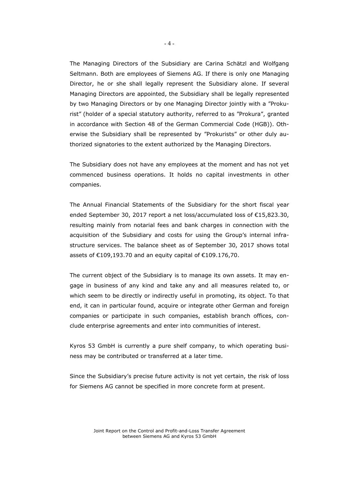The Managing Directors of the Subsidiary are Carina Schätzl and Wolfgang Seltmann. Both are employees of Siemens AG. If there is only one Managing Director, he or she shall legally represent the Subsidiary alone. If several Managing Directors are appointed, the Subsidiary shall be legally represented by two Managing Directors or by one Managing Director jointly with a "Prokurist" (holder of a special statutory authority, referred to as "Prokura", granted in accordance with Section 48 of the German Commercial Code (HGB)). Otherwise the Subsidiary shall be represented by "Prokurists" or other duly authorized signatories to the extent authorized by the Managing Directors.

The Subsidiary does not have any employees at the moment and has not yet commenced business operations. It holds no capital investments in other companies.

The Annual Financial Statements of the Subsidiary for the short fiscal year ended September 30, 2017 report a net loss/accumulated loss of €15,823.30, resulting mainly from notarial fees and bank charges in connection with the acquisition of the Subsidiary and costs for using the Group's internal infrastructure services. The balance sheet as of September 30, 2017 shows total assets of €109,193.70 and an equity capital of €109.176,70.

The current object of the Subsidiary is to manage its own assets. It may engage in business of any kind and take any and all measures related to, or which seem to be directly or indirectly useful in promoting, its object. To that end, it can in particular found, acquire or integrate other German and foreign companies or participate in such companies, establish branch offices, conclude enterprise agreements and enter into communities of interest.

Kyros 53 GmbH is currently a pure shelf company, to which operating business may be contributed or transferred at a later time.

Since the Subsidiary's precise future activity is not yet certain, the risk of loss for Siemens AG cannot be specified in more concrete form at present.

- 4 -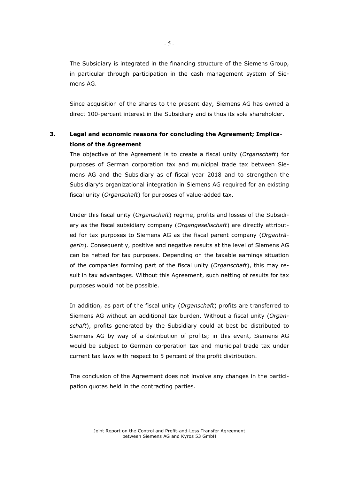The Subsidiary is integrated in the financing structure of the Siemens Group, in particular through participation in the cash management system of Siemens AG.

Since acquisition of the shares to the present day, Siemens AG has owned a direct 100-percent interest in the Subsidiary and is thus its sole shareholder.

# **3. Legal and economic reasons for concluding the Agreement; Implications of the Agreement**

The objective of the Agreement is to create a fiscal unity (*Organschaft*) for purposes of German corporation tax and municipal trade tax between Siemens AG and the Subsidiary as of fiscal year 2018 and to strengthen the Subsidiary's organizational integration in Siemens AG required for an existing fiscal unity (*Organschaft*) for purposes of value-added tax.

Under this fiscal unity (*Organschaft*) regime, profits and losses of the Subsidiary as the fiscal subsidiary company (*Organgesellschaft*) are directly attributed for tax purposes to Siemens AG as the fiscal parent company (*Organträgerin*). Consequently, positive and negative results at the level of Siemens AG can be netted for tax purposes. Depending on the taxable earnings situation of the companies forming part of the fiscal unity (*Organschaft*), this may result in tax advantages. Without this Agreement, such netting of results for tax purposes would not be possible.

In addition, as part of the fiscal unity (*Organschaft*) profits are transferred to Siemens AG without an additional tax burden. Without a fiscal unity (*Organschaft*), profits generated by the Subsidiary could at best be distributed to Siemens AG by way of a distribution of profits; in this event, Siemens AG would be subject to German corporation tax and municipal trade tax under current tax laws with respect to 5 percent of the profit distribution.

The conclusion of the Agreement does not involve any changes in the participation quotas held in the contracting parties.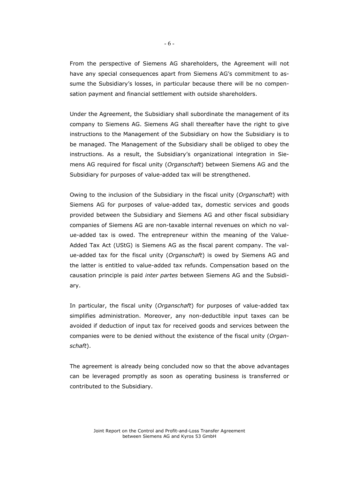From the perspective of Siemens AG shareholders, the Agreement will not have any special consequences apart from Siemens AG's commitment to assume the Subsidiary's losses, in particular because there will be no compensation payment and financial settlement with outside shareholders.

Under the Agreement, the Subsidiary shall subordinate the management of its company to Siemens AG. Siemens AG shall thereafter have the right to give instructions to the Management of the Subsidiary on how the Subsidiary is to be managed. The Management of the Subsidiary shall be obliged to obey the instructions. As a result, the Subsidiary's organizational integration in Siemens AG required for fiscal unity (*Organschaft*) between Siemens AG and the Subsidiary for purposes of value-added tax will be strengthened.

Owing to the inclusion of the Subsidiary in the fiscal unity (*Organschaft*) with Siemens AG for purposes of value-added tax, domestic services and goods provided between the Subsidiary and Siemens AG and other fiscal subsidiary companies of Siemens AG are non-taxable internal revenues on which no value-added tax is owed. The entrepreneur within the meaning of the Value-Added Tax Act (UStG) is Siemens AG as the fiscal parent company. The value-added tax for the fiscal unity (*Organschaft*) is owed by Siemens AG and the latter is entitled to value-added tax refunds. Compensation based on the causation principle is paid *inter partes* between Siemens AG and the Subsidiary.

In particular, the fiscal unity (*Organschaft*) for purposes of value-added tax simplifies administration. Moreover, any non-deductible input taxes can be avoided if deduction of input tax for received goods and services between the companies were to be denied without the existence of the fiscal unity (*Organschaft*).

The agreement is already being concluded now so that the above advantages can be leveraged promptly as soon as operating business is transferred or contributed to the Subsidiary.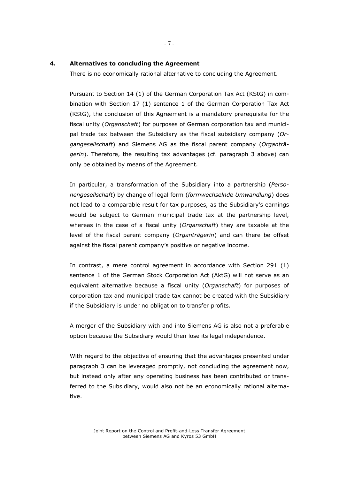#### **4. Alternatives to concluding the Agreement**

There is no economically rational alternative to concluding the Agreement.

Pursuant to Section 14 (1) of the German Corporation Tax Act (KStG) in combination with Section 17 (1) sentence 1 of the German Corporation Tax Act (KStG), the conclusion of this Agreement is a mandatory prerequisite for the fiscal unity (*Organschaft*) for purposes of German corporation tax and municipal trade tax between the Subsidiary as the fiscal subsidiary company (*Organgesellschaft*) and Siemens AG as the fiscal parent company (*Organträgerin*). Therefore, the resulting tax advantages (cf. paragraph 3 above) can only be obtained by means of the Agreement.

In particular, a transformation of the Subsidiary into a partnership (*Personengesellschaft*) by change of legal form (*formwechselnde Umwandlung*) does not lead to a comparable result for tax purposes, as the Subsidiary's earnings would be subject to German municipal trade tax at the partnership level, whereas in the case of a fiscal unity (*Organschaft*) they are taxable at the level of the fiscal parent company (*Organträgerin*) and can there be offset against the fiscal parent company's positive or negative income.

In contrast, a mere control agreement in accordance with Section 291 (1) sentence 1 of the German Stock Corporation Act (AktG) will not serve as an equivalent alternative because a fiscal unity (*Organschaft*) for purposes of corporation tax and municipal trade tax cannot be created with the Subsidiary if the Subsidiary is under no obligation to transfer profits.

A merger of the Subsidiary with and into Siemens AG is also not a preferable option because the Subsidiary would then lose its legal independence.

With regard to the objective of ensuring that the advantages presented under paragraph 3 can be leveraged promptly, not concluding the agreement now, but instead only after any operating business has been contributed or transferred to the Subsidiary, would also not be an economically rational alternative.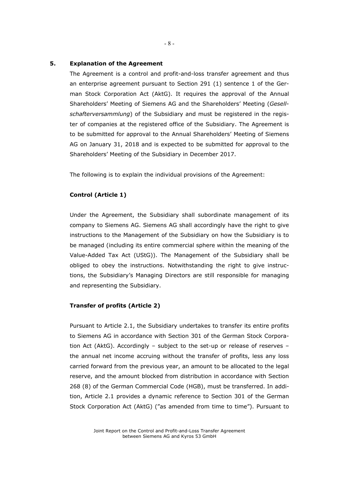### **5. Explanation of the Agreement**

The Agreement is a control and profit-and-loss transfer agreement and thus an enterprise agreement pursuant to Section 291 (1) sentence 1 of the German Stock Corporation Act (AktG). It requires the approval of the Annual Shareholders' Meeting of Siemens AG and the Shareholders' Meeting (*Gesellschafterversammlung*) of the Subsidiary and must be registered in the register of companies at the registered office of the Subsidiary. The Agreement is to be submitted for approval to the Annual Shareholders' Meeting of Siemens AG on January 31, 2018 and is expected to be submitted for approval to the Shareholders' Meeting of the Subsidiary in December 2017.

The following is to explain the individual provisions of the Agreement:

#### **Control (Article 1)**

Under the Agreement, the Subsidiary shall subordinate management of its company to Siemens AG. Siemens AG shall accordingly have the right to give instructions to the Management of the Subsidiary on how the Subsidiary is to be managed (including its entire commercial sphere within the meaning of the Value-Added Tax Act (UStG)). The Management of the Subsidiary shall be obliged to obey the instructions. Notwithstanding the right to give instructions, the Subsidiary's Managing Directors are still responsible for managing and representing the Subsidiary.

#### **Transfer of profits (Article 2)**

Pursuant to Article 2.1, the Subsidiary undertakes to transfer its entire profits to Siemens AG in accordance with Section 301 of the German Stock Corporation Act (AktG). Accordingly – subject to the set-up or release of reserves – the annual net income accruing without the transfer of profits, less any loss carried forward from the previous year, an amount to be allocated to the legal reserve, and the amount blocked from distribution in accordance with Section 268 (8) of the German Commercial Code (HGB), must be transferred. In addition, Article 2.1 provides a dynamic reference to Section 301 of the German Stock Corporation Act (AktG) ("as amended from time to time"). Pursuant to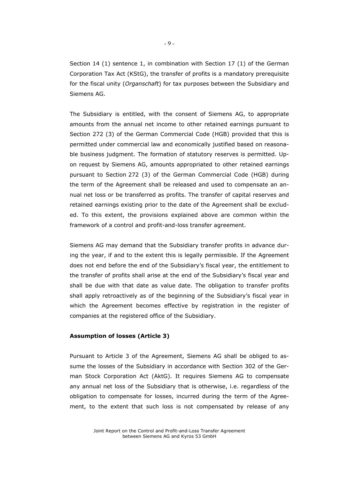Section 14 (1) sentence 1, in combination with Section 17 (1) of the German Corporation Tax Act (KStG), the transfer of profits is a mandatory prerequisite for the fiscal unity (*Organschaft*) for tax purposes between the Subsidiary and Siemens AG.

The Subsidiary is entitled, with the consent of Siemens AG, to appropriate amounts from the annual net income to other retained earnings pursuant to Section 272 (3) of the German Commercial Code (HGB) provided that this is permitted under commercial law and economically justified based on reasonable business judgment. The formation of statutory reserves is permitted. Upon request by Siemens AG, amounts appropriated to other retained earnings pursuant to Section 272 (3) of the German Commercial Code (HGB) during the term of the Agreement shall be released and used to compensate an annual net loss or be transferred as profits. The transfer of capital reserves and retained earnings existing prior to the date of the Agreement shall be excluded. To this extent, the provisions explained above are common within the framework of a control and profit-and-loss transfer agreement.

Siemens AG may demand that the Subsidiary transfer profits in advance during the year, if and to the extent this is legally permissible. If the Agreement does not end before the end of the Subsidiary's fiscal year, the entitlement to the transfer of profits shall arise at the end of the Subsidiary's fiscal year and shall be due with that date as value date. The obligation to transfer profits shall apply retroactively as of the beginning of the Subsidiary's fiscal year in which the Agreement becomes effective by registration in the register of companies at the registered office of the Subsidiary.

#### **Assumption of losses (Article 3)**

Pursuant to Article 3 of the Agreement, Siemens AG shall be obliged to assume the losses of the Subsidiary in accordance with Section 302 of the German Stock Corporation Act (AktG). It requires Siemens AG to compensate any annual net loss of the Subsidiary that is otherwise, i.e. regardless of the obligation to compensate for losses, incurred during the term of the Agreement, to the extent that such loss is not compensated by release of any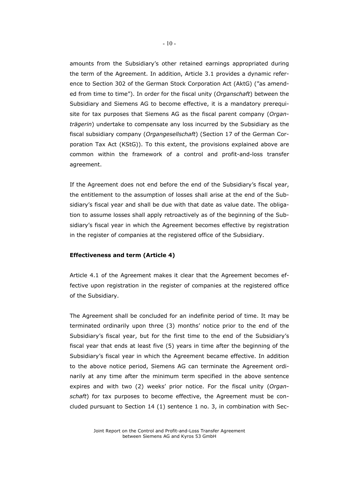amounts from the Subsidiary's other retained earnings appropriated during the term of the Agreement. In addition, Article 3.1 provides a dynamic reference to Section 302 of the German Stock Corporation Act (AktG) ("as amended from time to time"). In order for the fiscal unity (*Organschaft*) between the Subsidiary and Siemens AG to become effective, it is a mandatory prerequisite for tax purposes that Siemens AG as the fiscal parent company (*Organträgerin*) undertake to compensate any loss incurred by the Subsidiary as the fiscal subsidiary company (*Organgesellschaft*) (Section 17 of the German Corporation Tax Act (KStG)). To this extent, the provisions explained above are common within the framework of a control and profit-and-loss transfer agreement.

If the Agreement does not end before the end of the Subsidiary's fiscal year, the entitlement to the assumption of losses shall arise at the end of the Subsidiary's fiscal year and shall be due with that date as value date. The obligation to assume losses shall apply retroactively as of the beginning of the Subsidiary's fiscal year in which the Agreement becomes effective by registration in the register of companies at the registered office of the Subsidiary.

#### **Effectiveness and term (Article 4)**

Article 4.1 of the Agreement makes it clear that the Agreement becomes effective upon registration in the register of companies at the registered office of the Subsidiary.

The Agreement shall be concluded for an indefinite period of time. It may be terminated ordinarily upon three (3) months' notice prior to the end of the Subsidiary's fiscal year, but for the first time to the end of the Subsidiary's fiscal year that ends at least five (5) years in time after the beginning of the Subsidiary's fiscal year in which the Agreement became effective. In addition to the above notice period, Siemens AG can terminate the Agreement ordinarily at any time after the minimum term specified in the above sentence expires and with two (2) weeks' prior notice. For the fiscal unity (*Organschaft*) for tax purposes to become effective, the Agreement must be concluded pursuant to Section 14 (1) sentence 1 no. 3, in combination with Sec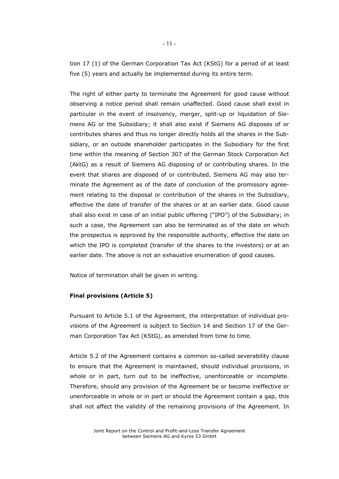tion 17 (1) of the German Corporation Tax Act (KStG) for a period of at least five (5) years and actually be implemented during its entire term.

The right of either party to terminate the Agreement for good cause without observing a notice period shall remain unaffected. Good cause shall exist in particular in the event of insolvency, merger, split-up or liquidation of Siemens AG or the Subsidiary; it shall also exist if Siemens AG disposes of or contributes shares and thus no longer directly holds all the shares in the Subsidiary, or an outside shareholder participates in the Subsidiary for the first time within the meaning of Section 307 of the German Stock Corporation Act (AktG) as a result of Siemens AG disposing of or contributing shares. In the event that shares are disposed of or contributed, Siemens AG may also terminate the Agreement as of the date of conclusion of the promissory agreement relating to the disposal or contribution of the shares in the Subsidiary, effective the date of transfer of the shares or at an earlier date. Good cause shall also exist in case of an initial public offering ("IPO") of the Subsidiary; in such a case, the Agreement can also be terminated as of the date on which the prospectus is approved by the responsible authority, effective the date on which the IPO is completed (transfer of the shares to the investors) or at an earlier date. The above is not an exhaustive enumeration of good causes.

Notice of termination shall be given in writing.

# **Final provisions (Article 5)**

Pursuant to Article 5.1 of the Agreement, the interpretation of individual provisions of the Agreement is subject to Section 14 and Section 17 of the German Corporation Tax Act (KStG), as amended from time to time.

Article 5.2 of the Agreement contains a common so-called severability clause to ensure that the Agreement is maintained, should individual provisions, in whole or in part, turn out to be ineffective, unenforceable or incomplete. Therefore, should any provision of the Agreement be or become ineffective or unenforceable in whole or in part or should the Agreement contain a gap, this shall not affect the validity of the remaining provisions of the Agreement. In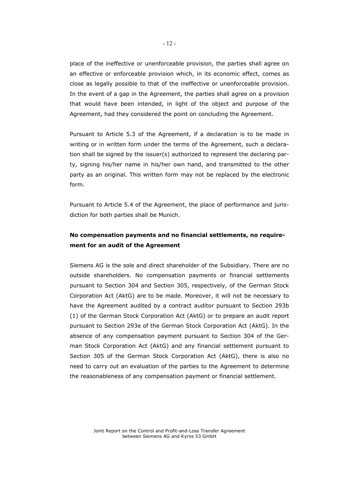place of the ineffective or unenforceable provision, the parties shall agree on an effective or enforceable provision which, in its economic effect, comes as close as legally possible to that of the ineffective or unenforceable provision. In the event of a gap in the Agreement, the parties shall agree on a provision that would have been intended, in light of the object and purpose of the Agreement, had they considered the point on concluding the Agreement.

Pursuant to Article 5.3 of the Agreement, if a declaration is to be made in writing or in written form under the terms of the Agreement, such a declaration shall be signed by the issuer(s) authorized to represent the declaring party, signing his/her name in his/her own hand, and transmitted to the other party as an original. This written form may not be replaced by the electronic form.

Pursuant to Article 5.4 of the Agreement, the place of performance and jurisdiction for both parties shall be Munich.

# **No compensation payments and no financial settlements, no requirement for an audit of the Agreement**

Siemens AG is the sole and direct shareholder of the Subsidiary. There are no outside shareholders. No compensation payments or financial settlements pursuant to Section 304 and Section 305, respectively, of the German Stock Corporation Act (AktG) are to be made. Moreover, it will not be necessary to have the Agreement audited by a contract auditor pursuant to Section 293b (1) of the German Stock Corporation Act (AktG) or to prepare an audit report pursuant to Section 293e of the German Stock Corporation Act (AktG). In the absence of any compensation payment pursuant to Section 304 of the German Stock Corporation Act (AktG) and any financial settlement pursuant to Section 305 of the German Stock Corporation Act (AktG), there is also no need to carry out an evaluation of the parties to the Agreement to determine the reasonableness of any compensation payment or financial settlement.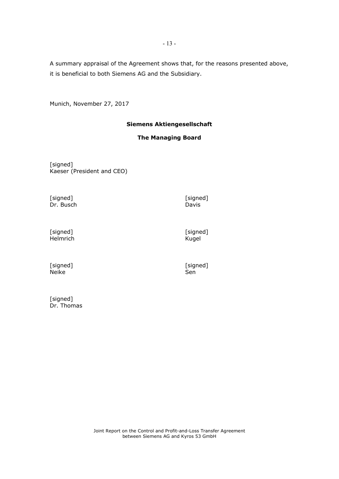A summary appraisal of the Agreement shows that, for the reasons presented above, it is beneficial to both Siemens AG and the Subsidiary.

Munich, November 27, 2017

# **Siemens Aktiengesellschaft**

# **The Managing Board**

[signed] Kaeser (President and CEO)

[signed] [signed] Dr. Busch

Davis

[signed] Helmrich [signed] Kugel

[signed] Neike

[signed]<br>Sen

[signed] Dr. Thomas

Joint Report on the Control and Profit-and-Loss Transfer Agreement between Siemens AG and Kyros 53 GmbH